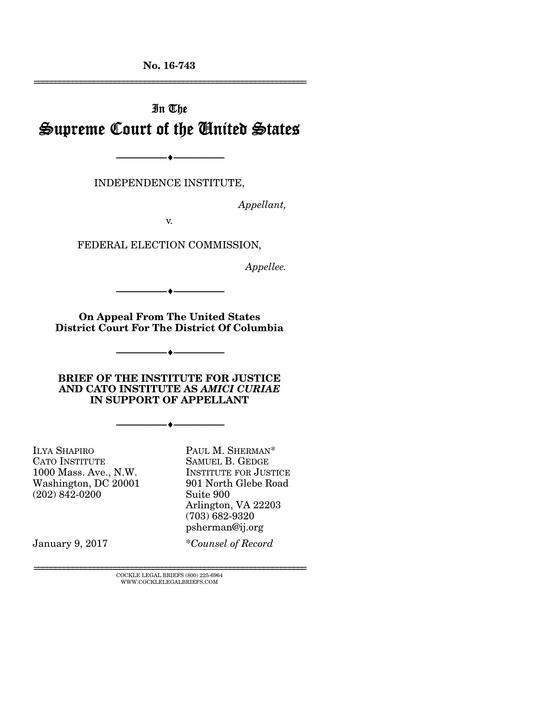No. 16-743 ================================================================

# In The Supreme Court of the United States

INDEPENDENCE INSTITUTE,

--------------------------------- ---------------------------------

*Appellant,* 

v.

FEDERAL ELECTION COMMISSION,

*Appellee.* 

--------------------------------- ---------------------------------

On Appeal From The United States District Court For The District Of Columbia

--------------------------------- ---------------------------------

BRIEF OF THE INSTITUTE FOR JUSTICE AND CATO INSTITUTE AS *AMICI CURIAE* IN SUPPORT OF APPELLANT

--------------------------------- ---------------------------------

ILYA SHAPIRO CATO INSTITUTE 1000 Mass. Ave., N.W. Washington, DC 20001 (202) 842-0200

PAUL M. SHERMAN\* SAMUEL B. GEDGE INSTITUTE FOR JUSTICE 901 North Glebe Road Suite 900 Arlington, VA 22203 (703) 682-9320 psherman@ij.org

January 9, 2017

\**Counsel of Record*

 ${\rm COCKLE}$ LEGAL BRIEFS (800) 225-6964 WWW.COCKLELEGALBRIEFS.COM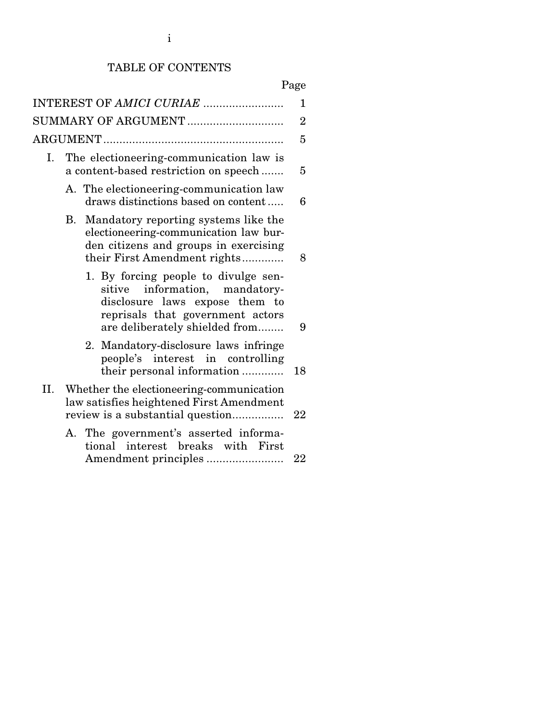# TABLE OF CONTENTS

# Page

|    |                                                                                                                                                                                               | 1              |
|----|-----------------------------------------------------------------------------------------------------------------------------------------------------------------------------------------------|----------------|
|    | SUMMARY OF ARGUMENT                                                                                                                                                                           | $\overline{2}$ |
|    |                                                                                                                                                                                               | 5              |
| I. | The electioneering-communication law is<br>a content-based restriction on speech                                                                                                              | 5              |
|    | A. The electioneering-communication law<br>draws distinctions based on content                                                                                                                | 6              |
|    | Mandatory reporting systems like the<br>В.<br>electioneering-communication law bur-<br>den citizens and groups in exercising<br>their First Amendment rights                                  | 8              |
|    | 1. By forcing people to divulge sen-<br>information, mandatory-<br>$\mathrm{stitute}$<br>disclosure laws expose them to<br>reprisals that government actors<br>are deliberately shielded from | 9              |
|    | Mandatory-disclosure laws infringe<br>2.<br>people's interest in controlling<br>their personal information                                                                                    | 18             |
|    | II. Whether the electioneering-communication<br>law satisfies heightened First Amendment<br>review is a substantial question                                                                  | 22             |
|    | A. The government's asserted informa-<br>tional interest breaks with First                                                                                                                    | 22             |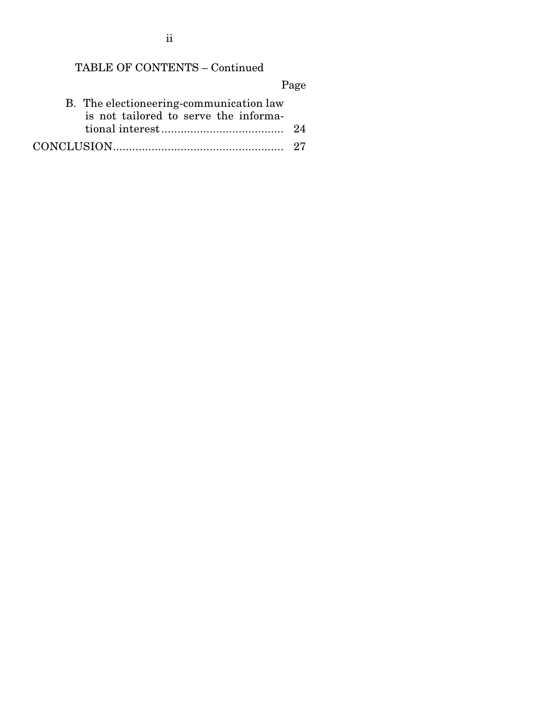ii

# TABLE OF CONTENTS – Continued

Page

| B. The electioneering-communication law<br>is not tailored to serve the informa- |  |
|----------------------------------------------------------------------------------|--|
|                                                                                  |  |
|                                                                                  |  |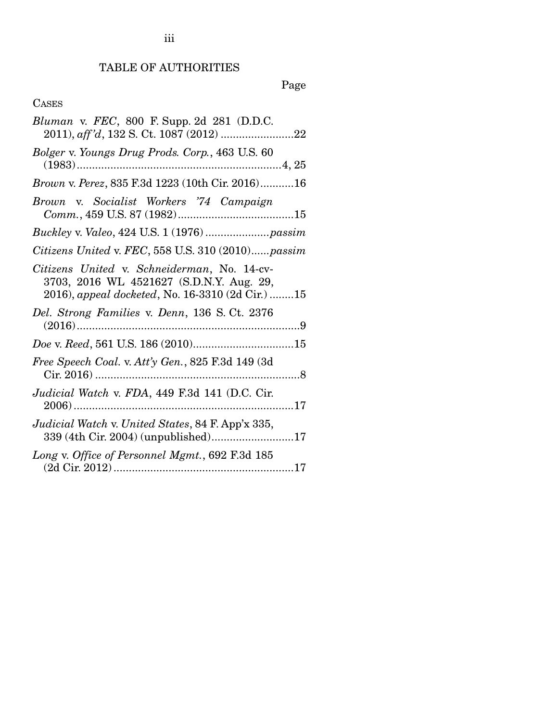iii

Page

## CASES

| <i>Bluman</i> v. <i>FEC</i> , 800 F. Supp. 2d 281 (D.D.C.                                                                                   |
|---------------------------------------------------------------------------------------------------------------------------------------------|
| Bolger v. Youngs Drug Prods. Corp., 463 U.S. 60                                                                                             |
| <i>Brown v. Perez</i> , 835 F.3d 1223 (10th Cir. 2016)16                                                                                    |
| Brown v. Socialist Workers '74 Campaign                                                                                                     |
|                                                                                                                                             |
| Citizens United v. FEC, 558 U.S. 310 (2010)passim                                                                                           |
| Citizens United v. Schneiderman, No. 14-cv-<br>3703, 2016 WL 4521627 (S.D.N.Y. Aug. 29,<br>2016), appeal docketed, No. 16-3310 (2d Cir.) 15 |
| Del. Strong Families v. Denn, 136 S. Ct. 2376                                                                                               |
|                                                                                                                                             |
| Free Speech Coal. v. Att'y Gen., 825 F.3d 149 (3d)                                                                                          |
| Judicial Watch v. FDA, 449 F.3d 141 (D.C. Cir.                                                                                              |
| Judicial Watch v. United States, 84 F. App'x 335,<br>339 (4th Cir. 2004) (unpublished)17                                                    |
| Long v. Office of Personnel Mgmt., 692 F.3d 185                                                                                             |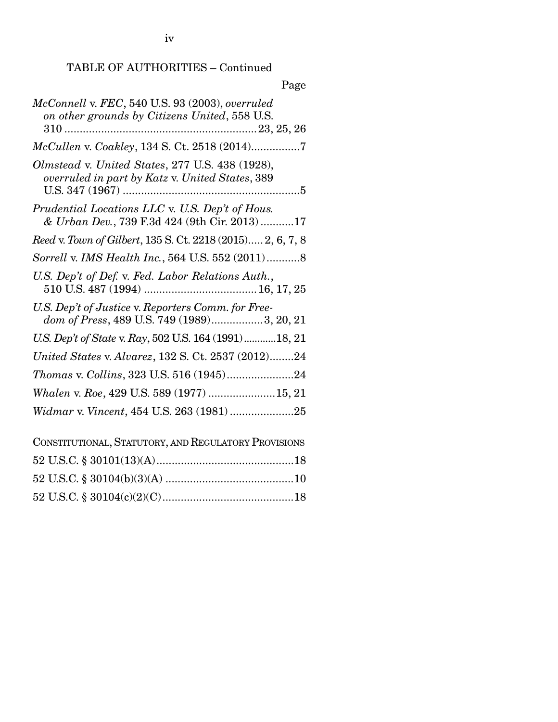iv

## TABLE OF AUTHORITIES – Continued

## Page

| McConnell v. FEC, 540 U.S. 93 (2003), overruled<br>on other grounds by Citizens United, 558 U.S.   |
|----------------------------------------------------------------------------------------------------|
| McCullen v. Coakley, 134 S. Ct. 2518 (2014)7                                                       |
| Olmstead v. United States, 277 U.S. 438 (1928),<br>overruled in part by Katz v. United States, 389 |
| Prudential Locations LLC v. U.S. Dep't of Hous.<br>& Urban Dev., 739 F.3d 424 (9th Cir. 2013)17    |
| Reed v. Town of Gilbert, 135 S. Ct. 2218 (2015) 2, 6, 7, 8                                         |
| Sorrell v. IMS Health Inc., 564 U.S. 552 (2011)8                                                   |
| U.S. Dep't of Def. v. Fed. Labor Relations Auth.,                                                  |
| U.S. Dep't of Justice v. Reporters Comm. for Free-<br>dom of Press, 489 U.S. 749 (1989)3, 20, 21   |
| U.S. Dep't of State v. Ray, 502 U.S. 164 (1991) 18, 21                                             |
| United States v. Alvarez, 132 S. Ct. 2537 (2012)24                                                 |
| Thomas v. Collins, 323 U.S. 516 (1945)24                                                           |
| Whalen v. Roe, 429 U.S. 589 (1977) 15, 21                                                          |
| Widmar v. Vincent, 454 U.S. 263 (1981)25                                                           |
| CONSTITUTIONAL, STATUTORY, AND REGULATORY PROVISIONS                                               |
|                                                                                                    |
|                                                                                                    |

52 U.S.C. § 30104(c)(2)(C) ........................................... 18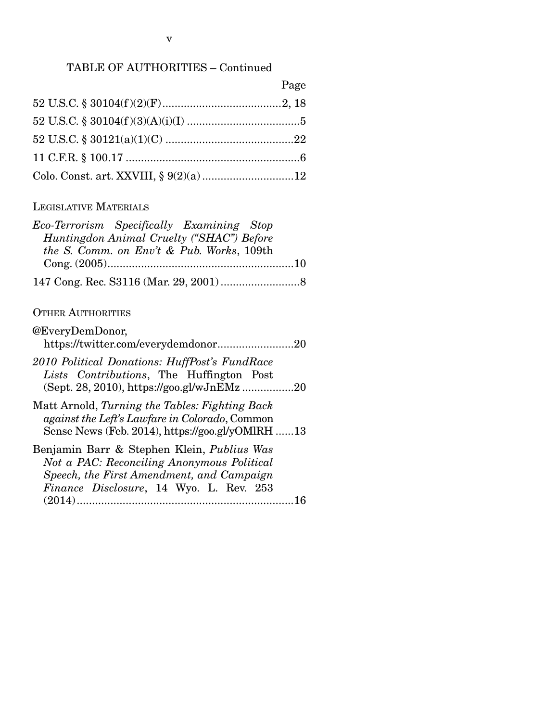### TABLE OF AUTHORITIES – Continued

| ٠<br>с<br>. . |
|---------------|
|---------------|

#### LEGISLATIVE MATERIALS

| Eco-Terrorism Specifically Examining Stop |  |
|-------------------------------------------|--|
| Huntingdon Animal Cruelty ("SHAC") Before |  |
| the S. Comm. on Env't & Pub. Works, 109th |  |
|                                           |  |
|                                           |  |

#### OTHER AUTHORITIES

| @EveryDemDonor,                               |  |
|-----------------------------------------------|--|
| https://twitter.com/everydemdonor20           |  |
| 2010 Political Donations: HuffPost's FundRace |  |
| Lists Contributions, The Huffington Post      |  |
| (Sept. 28, 2010), https://goo.gl/wJnEMz20     |  |

Matt Arnold, *Turning the Tables: Fighting Back against the Left's Lawfare in Colorado*, Common Sense News (Feb. 2014), https://goo.gl/yOMlRH ...... 13

| Benjamin Barr & Stephen Klein, Publius Was |  |
|--------------------------------------------|--|
| Not a PAC: Reconciling Anonymous Political |  |
| Speech, the First Amendment, and Campaign  |  |
| Finance Disclosure, 14 Wyo. L. Rev. 253    |  |
|                                            |  |
|                                            |  |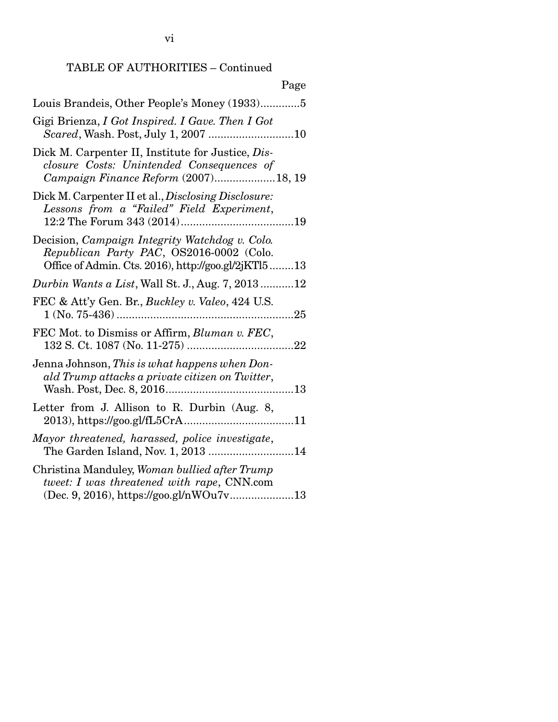## TABLE OF AUTHORITIES – Continued

| Page                                                                                                                                              |
|---------------------------------------------------------------------------------------------------------------------------------------------------|
| Louis Brandeis, Other People's Money (1933)5                                                                                                      |
| Gigi Brienza, I Got Inspired. I Gave. Then I Got                                                                                                  |
| Dick M. Carpenter II, Institute for Justice, Dis-<br>closure Costs: Unintended Consequences of<br>Campaign Finance Reform (2007)18, 19            |
| Dick M. Carpenter II et al., Disclosing Disclosure:<br>Lessons from a "Failed" Field Experiment,                                                  |
| Decision, Campaign Integrity Watchdog v. Colo.<br>Republican Party PAC, OS2016-0002 (Colo.<br>Office of Admin. Cts. 2016), http://goo.gl/2jKTl513 |
| <i>Durbin Wants a List</i> , Wall St. J., Aug. 7, 201312                                                                                          |
| FEC & Att'y Gen. Br., Buckley v. Valeo, 424 U.S.                                                                                                  |
| FEC Mot. to Dismiss or Affirm, Bluman v. FEC,                                                                                                     |
| Jenna Johnson, This is what happens when Don-<br>ald Trump attacks a private citizen on Twitter,                                                  |
| Letter from J. Allison to R. Durbin (Aug. 8,                                                                                                      |
| Mayor threatened, harassed, police investigate,<br>The Garden Island, Nov. 1, 2013 14                                                             |
| Christina Manduley, Woman bullied after Trump<br>tweet: I was threatened with rape, CNN.com<br>(Dec. 9, 2016), https://goo.gl/nWOu7v13            |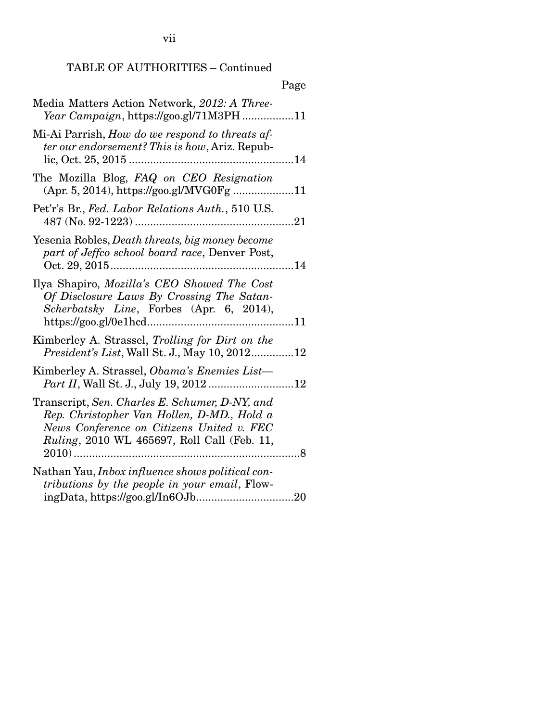vii

#### TABLE OF AUTHORITIES – Continued

### Page Media Matters Action Network, *2012: A Three-Year Campaign*, https://goo.gl/71M3PH ................. 11 Mi-Ai Parrish, *How do we respond to threats after our endorsement? This is how*, Ariz. Republic, Oct. 25, 2015 ...................................................... 14 The Mozilla Blog, *FAQ on CEO Resignation*  (Apr. 5, 2014), https://goo.gl/MVG0Fg .................... 11 Pet'r's Br., *Fed. Labor Relations Auth.*, 510 U.S. 487 (No. 92-1223) .................................................... 21 Yesenia Robles, *Death threats, big money become part of Jeffco school board race*, Denver Post, Oct. 29, 2015 ............................................................ 14 Ilya Shapiro, *Mozilla's CEO Showed The Cost Of Disclosure Laws By Crossing The Satan-Scherbatsky Line*, Forbes (Apr. 6, 2014), https://goo.gl/0e1hcd ................................................ 11 Kimberley A. Strassel, *Trolling for Dirt on the President's List*, Wall St. J., May 10, 2012 .............. 12 Kimberley A. Strassel, *Obama's Enemies List— Part II*, Wall St. J., July 19, 2012 ............................ 12 Transcript, *Sen. Charles E. Schumer, D-NY, and Rep. Christopher Van Hollen, D-MD., Hold a News Conference on Citizens United v. FEC Ruling*, 2010 WL 465697, Roll Call (Feb. 11, 2010) .......................................................................... 8 Nathan Yau, *Inbox influence shows political contributions by the people in your email*, FlowingData, https://goo.gl/In6OJb ................................ 20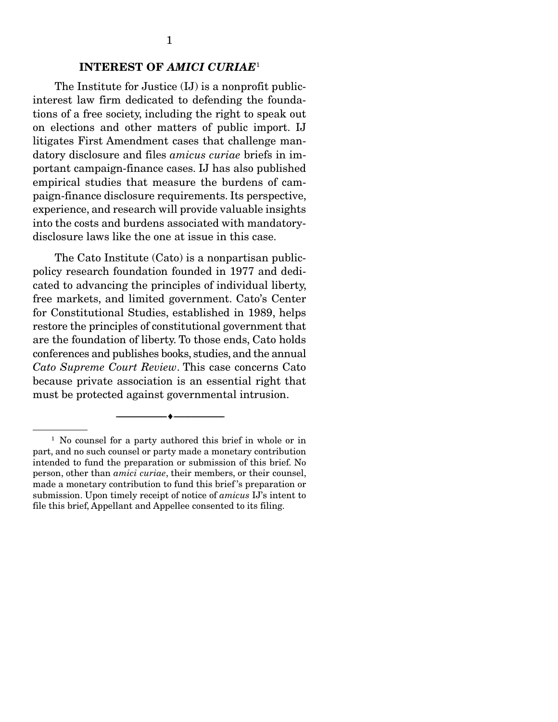#### INTEREST OF *AMICI CURIAE*<sup>1</sup>

 The Institute for Justice (IJ) is a nonprofit publicinterest law firm dedicated to defending the foundations of a free society, including the right to speak out on elections and other matters of public import. IJ litigates First Amendment cases that challenge mandatory disclosure and files *amicus curiae* briefs in important campaign-finance cases. IJ has also published empirical studies that measure the burdens of campaign-finance disclosure requirements. Its perspective, experience, and research will provide valuable insights into the costs and burdens associated with mandatorydisclosure laws like the one at issue in this case.

 The Cato Institute (Cato) is a nonpartisan publicpolicy research foundation founded in 1977 and dedicated to advancing the principles of individual liberty, free markets, and limited government. Cato's Center for Constitutional Studies, established in 1989, helps restore the principles of constitutional government that are the foundation of liberty. To those ends, Cato holds conferences and publishes books, studies, and the annual *Cato Supreme Court Review*. This case concerns Cato because private association is an essential right that must be protected against governmental intrusion.

 $-$ 

<sup>&</sup>lt;sup>1</sup> No counsel for a party authored this brief in whole or in part, and no such counsel or party made a monetary contribution intended to fund the preparation or submission of this brief. No person, other than *amici curiae*, their members, or their counsel, made a monetary contribution to fund this brief 's preparation or submission. Upon timely receipt of notice of *amicus* IJ's intent to file this brief, Appellant and Appellee consented to its filing.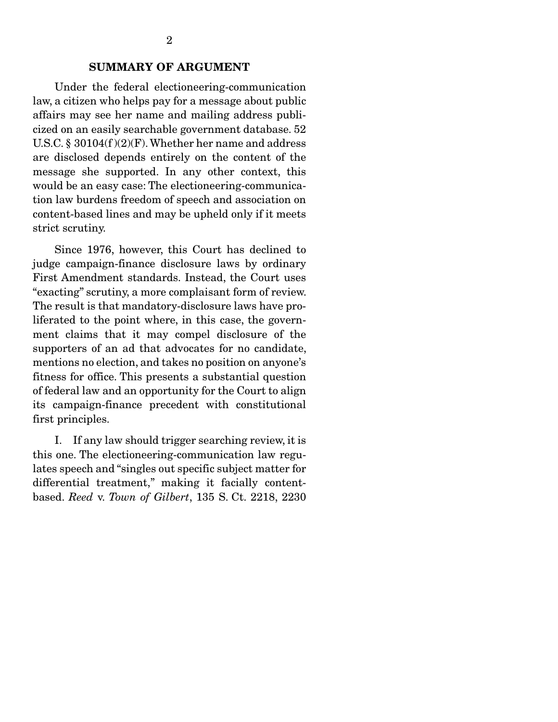#### SUMMARY OF ARGUMENT

 Under the federal electioneering-communication law, a citizen who helps pay for a message about public affairs may see her name and mailing address publicized on an easily searchable government database. 52 U.S.C. § 30104(f )(2)(F). Whether her name and address are disclosed depends entirely on the content of the message she supported. In any other context, this would be an easy case: The electioneering-communication law burdens freedom of speech and association on content-based lines and may be upheld only if it meets strict scrutiny.

 Since 1976, however, this Court has declined to judge campaign-finance disclosure laws by ordinary First Amendment standards. Instead, the Court uses "exacting" scrutiny, a more complaisant form of review. The result is that mandatory-disclosure laws have proliferated to the point where, in this case, the government claims that it may compel disclosure of the supporters of an ad that advocates for no candidate, mentions no election, and takes no position on anyone's fitness for office. This presents a substantial question of federal law and an opportunity for the Court to align its campaign-finance precedent with constitutional first principles.

 I. If any law should trigger searching review, it is this one. The electioneering-communication law regulates speech and "singles out specific subject matter for differential treatment," making it facially contentbased. *Reed* v. *Town of Gilbert*, 135 S. Ct. 2218, 2230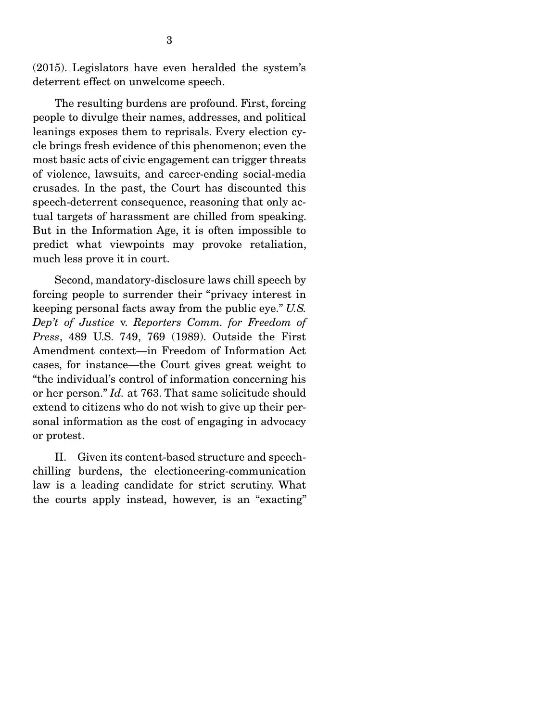(2015). Legislators have even heralded the system's deterrent effect on unwelcome speech.

 The resulting burdens are profound. First, forcing people to divulge their names, addresses, and political leanings exposes them to reprisals. Every election cycle brings fresh evidence of this phenomenon; even the most basic acts of civic engagement can trigger threats of violence, lawsuits, and career-ending social-media crusades. In the past, the Court has discounted this speech-deterrent consequence, reasoning that only actual targets of harassment are chilled from speaking. But in the Information Age, it is often impossible to predict what viewpoints may provoke retaliation, much less prove it in court.

 Second, mandatory-disclosure laws chill speech by forcing people to surrender their "privacy interest in keeping personal facts away from the public eye." *U.S. Dep't of Justice* v. *Reporters Comm. for Freedom of Press*, 489 U.S. 749, 769 (1989). Outside the First Amendment context—in Freedom of Information Act cases, for instance—the Court gives great weight to "the individual's control of information concerning his or her person." *Id.* at 763. That same solicitude should extend to citizens who do not wish to give up their personal information as the cost of engaging in advocacy or protest.

 II. Given its content-based structure and speechchilling burdens, the electioneering-communication law is a leading candidate for strict scrutiny. What the courts apply instead, however, is an "exacting"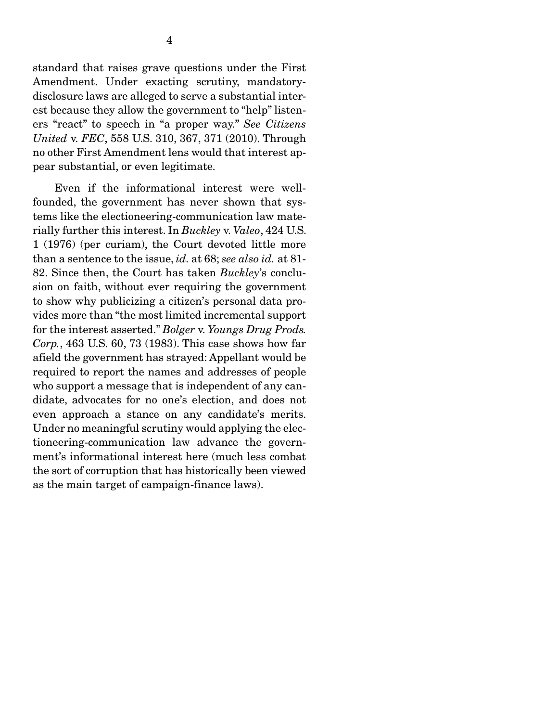standard that raises grave questions under the First Amendment. Under exacting scrutiny, mandatorydisclosure laws are alleged to serve a substantial interest because they allow the government to "help" listeners "react" to speech in "a proper way." *See Citizens United* v. *FEC*, 558 U.S. 310, 367, 371 (2010). Through no other First Amendment lens would that interest appear substantial, or even legitimate.

 Even if the informational interest were wellfounded, the government has never shown that systems like the electioneering-communication law materially further this interest. In *Buckley* v. *Valeo*, 424 U.S. 1 (1976) (per curiam), the Court devoted little more than a sentence to the issue, *id.* at 68; *see also id.* at 81- 82. Since then, the Court has taken *Buckley*'s conclusion on faith, without ever requiring the government to show why publicizing a citizen's personal data provides more than "the most limited incremental support for the interest asserted." *Bolger* v. *Youngs Drug Prods. Corp.*, 463 U.S. 60, 73 (1983). This case shows how far afield the government has strayed: Appellant would be required to report the names and addresses of people who support a message that is independent of any candidate, advocates for no one's election, and does not even approach a stance on any candidate's merits. Under no meaningful scrutiny would applying the electioneering-communication law advance the government's informational interest here (much less combat the sort of corruption that has historically been viewed as the main target of campaign-finance laws).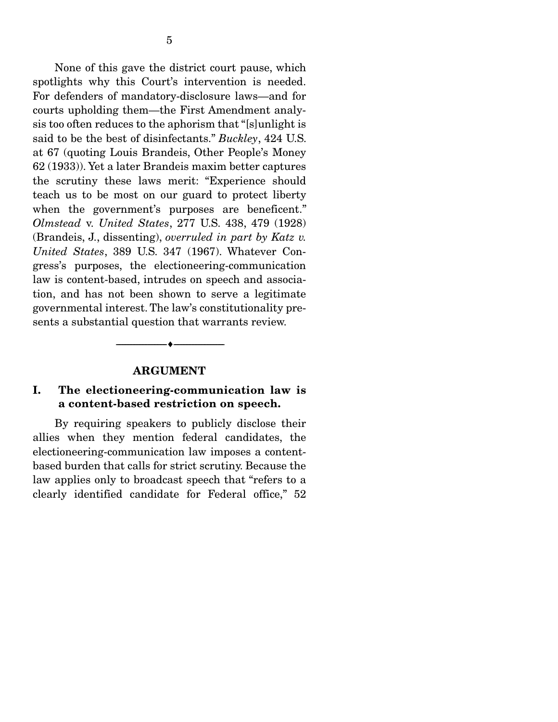None of this gave the district court pause, which spotlights why this Court's intervention is needed. For defenders of mandatory-disclosure laws—and for courts upholding them—the First Amendment analysis too often reduces to the aphorism that "[s]unlight is said to be the best of disinfectants." *Buckley*, 424 U.S. at 67 (quoting Louis Brandeis, Other People's Money 62 (1933)). Yet a later Brandeis maxim better captures the scrutiny these laws merit: "Experience should teach us to be most on our guard to protect liberty when the government's purposes are beneficent." *Olmstead* v. *United States*, 277 U.S. 438, 479 (1928) (Brandeis, J., dissenting), *overruled in part by Katz v. United States*, 389 U.S. 347 (1967). Whatever Congress's purposes, the electioneering-communication law is content-based, intrudes on speech and association, and has not been shown to serve a legitimate governmental interest. The law's constitutionality presents a substantial question that warrants review.

#### ARGUMENT

--------------------------------- ---------------------------------

#### I. The electioneering-communication law is a content-based restriction on speech.

 By requiring speakers to publicly disclose their allies when they mention federal candidates, the electioneering-communication law imposes a contentbased burden that calls for strict scrutiny. Because the law applies only to broadcast speech that "refers to a clearly identified candidate for Federal office," 52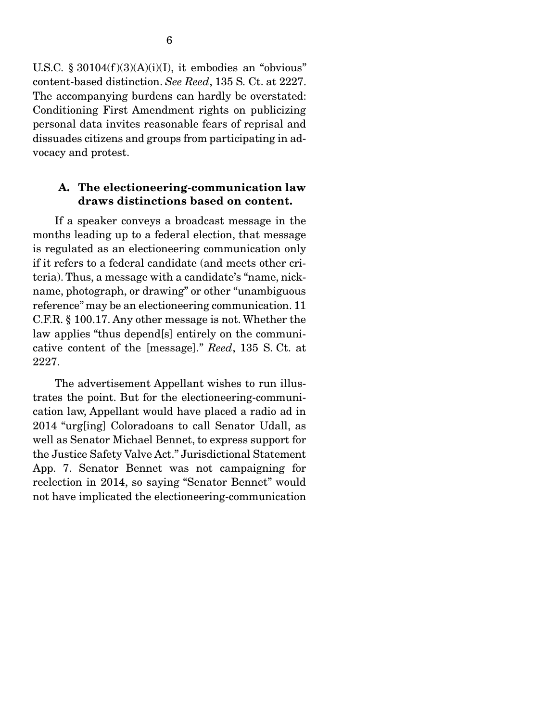U.S.C. §  $30104(f)(3)(A)(i)(I)$ , it embodies an "obvious" content-based distinction. *See Reed*, 135 S. Ct. at 2227. The accompanying burdens can hardly be overstated: Conditioning First Amendment rights on publicizing personal data invites reasonable fears of reprisal and dissuades citizens and groups from participating in advocacy and protest.

#### A. The electioneering-communication law draws distinctions based on content.

 If a speaker conveys a broadcast message in the months leading up to a federal election, that message is regulated as an electioneering communication only if it refers to a federal candidate (and meets other criteria). Thus, a message with a candidate's "name, nickname, photograph, or drawing" or other "unambiguous reference" may be an electioneering communication. 11 C.F.R. § 100.17. Any other message is not. Whether the law applies "thus depend[s] entirely on the communicative content of the [message]." *Reed*, 135 S. Ct. at 2227.

 The advertisement Appellant wishes to run illustrates the point. But for the electioneering-communication law, Appellant would have placed a radio ad in 2014 "urg[ing] Coloradoans to call Senator Udall, as well as Senator Michael Bennet, to express support for the Justice Safety Valve Act." Jurisdictional Statement App. 7. Senator Bennet was not campaigning for reelection in 2014, so saying "Senator Bennet" would not have implicated the electioneering-communication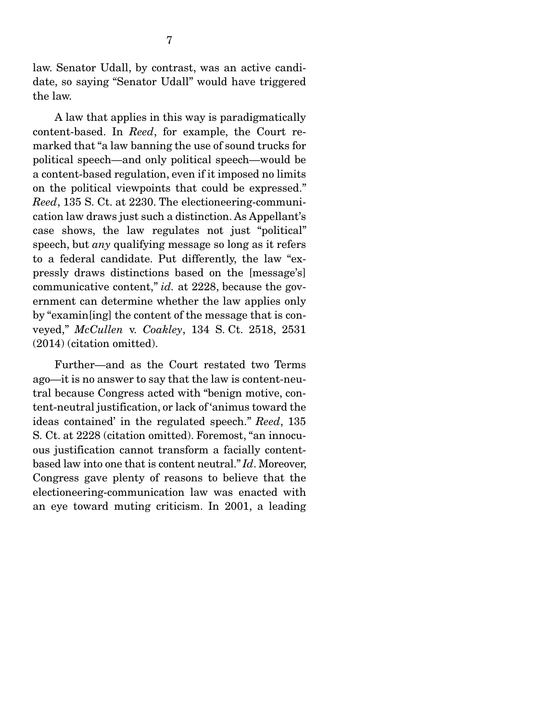law. Senator Udall, by contrast, was an active candidate, so saying "Senator Udall" would have triggered the law.

 A law that applies in this way is paradigmatically content-based. In *Reed*, for example, the Court remarked that "a law banning the use of sound trucks for political speech—and only political speech—would be a content-based regulation, even if it imposed no limits on the political viewpoints that could be expressed." *Reed*, 135 S. Ct. at 2230. The electioneering-communication law draws just such a distinction. As Appellant's case shows, the law regulates not just "political" speech, but *any* qualifying message so long as it refers to a federal candidate. Put differently, the law "expressly draws distinctions based on the [message's] communicative content," *id.* at 2228, because the government can determine whether the law applies only by "examin[ing] the content of the message that is conveyed," *McCullen* v. *Coakley*, 134 S. Ct. 2518, 2531 (2014) (citation omitted).

 Further—and as the Court restated two Terms ago—it is no answer to say that the law is content-neutral because Congress acted with "benign motive, content-neutral justification, or lack of 'animus toward the ideas contained' in the regulated speech." *Reed*, 135 S. Ct. at 2228 (citation omitted). Foremost, "an innocuous justification cannot transform a facially contentbased law into one that is content neutral." *Id*. Moreover, Congress gave plenty of reasons to believe that the electioneering-communication law was enacted with an eye toward muting criticism. In 2001, a leading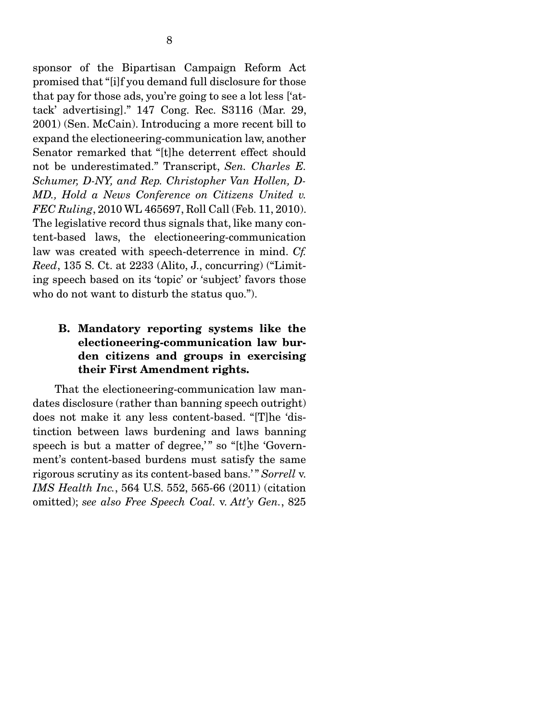sponsor of the Bipartisan Campaign Reform Act promised that "[i]f you demand full disclosure for those that pay for those ads, you're going to see a lot less ['attack' advertising]." 147 Cong. Rec. S3116 (Mar. 29, 2001) (Sen. McCain). Introducing a more recent bill to expand the electioneering-communication law, another Senator remarked that "[t]he deterrent effect should not be underestimated." Transcript, *Sen. Charles E. Schumer, D-NY, and Rep. Christopher Van Hollen, D-MD., Hold a News Conference on Citizens United v. FEC Ruling*, 2010 WL 465697, Roll Call (Feb. 11, 2010). The legislative record thus signals that, like many content-based laws, the electioneering-communication law was created with speech-deterrence in mind. *Cf. Reed*, 135 S. Ct. at 2233 (Alito, J., concurring) ("Limiting speech based on its 'topic' or 'subject' favors those who do not want to disturb the status quo.").

### B. Mandatory reporting systems like the electioneering-communication law burden citizens and groups in exercising their First Amendment rights.

 That the electioneering-communication law mandates disclosure (rather than banning speech outright) does not make it any less content-based. "[T]he 'distinction between laws burdening and laws banning speech is but a matter of degree," so "[t]he 'Government's content-based burdens must satisfy the same rigorous scrutiny as its content-based bans.' " *Sorrell* v. *IMS Health Inc.*, 564 U.S. 552, 565-66 (2011) (citation omitted); *see also Free Speech Coal.* v. *Att'y Gen.*, 825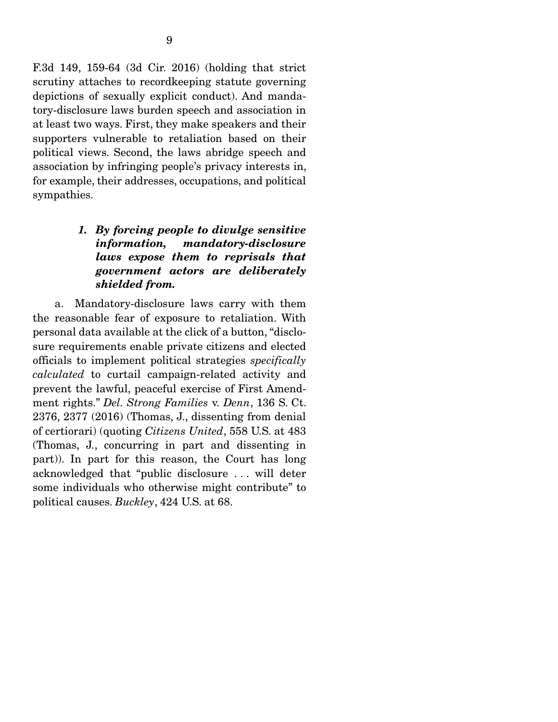F.3d 149, 159-64 (3d Cir. 2016) (holding that strict scrutiny attaches to recordkeeping statute governing depictions of sexually explicit conduct). And mandatory-disclosure laws burden speech and association in at least two ways. First, they make speakers and their supporters vulnerable to retaliation based on their political views. Second, the laws abridge speech and

association by infringing people's privacy interests in, for example, their addresses, occupations, and political sympathies.

### *1. By forcing people to divulge sensitive information, mandatory-disclosure laws expose them to reprisals that government actors are deliberately shielded from.*

 a. Mandatory-disclosure laws carry with them the reasonable fear of exposure to retaliation. With personal data available at the click of a button, "disclosure requirements enable private citizens and elected officials to implement political strategies *specifically calculated* to curtail campaign-related activity and prevent the lawful, peaceful exercise of First Amendment rights." *Del. Strong Families* v. *Denn*, 136 S. Ct. 2376, 2377 (2016) (Thomas, J., dissenting from denial of certiorari) (quoting *Citizens United*, 558 U.S. at 483 (Thomas, J., concurring in part and dissenting in part)). In part for this reason, the Court has long acknowledged that "public disclosure . . . will deter some individuals who otherwise might contribute" to political causes. *Buckley*, 424 U.S. at 68.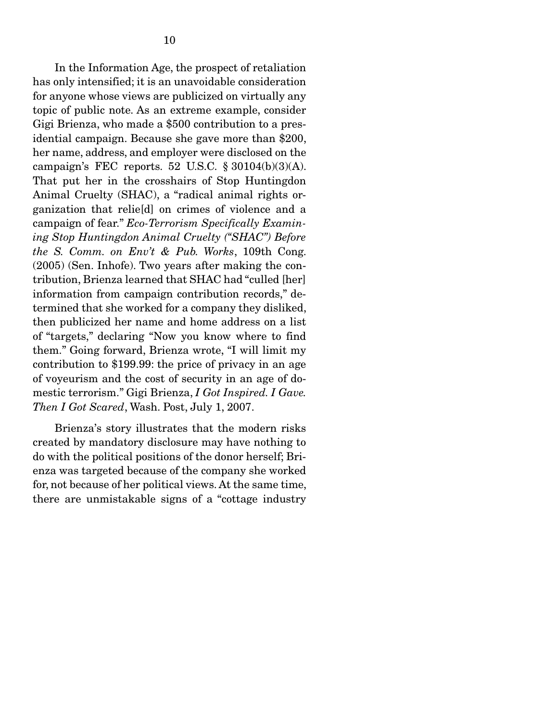In the Information Age, the prospect of retaliation has only intensified; it is an unavoidable consideration for anyone whose views are publicized on virtually any topic of public note. As an extreme example, consider Gigi Brienza, who made a \$500 contribution to a presidential campaign. Because she gave more than \$200, her name, address, and employer were disclosed on the campaign's FEC reports. 52 U.S.C.  $\S 30104(b)(3)(A)$ . That put her in the crosshairs of Stop Huntingdon Animal Cruelty (SHAC), a "radical animal rights organization that relie[d] on crimes of violence and a campaign of fear." *Eco-Terrorism Specifically Examining Stop Huntingdon Animal Cruelty (''SHAC'') Before the S. Comm. on Env't & Pub. Works*, 109th Cong. (2005) (Sen. Inhofe). Two years after making the contribution, Brienza learned that SHAC had "culled [her] information from campaign contribution records," determined that she worked for a company they disliked, then publicized her name and home address on a list of "targets," declaring "Now you know where to find them." Going forward, Brienza wrote, "I will limit my contribution to \$199.99: the price of privacy in an age of voyeurism and the cost of security in an age of domestic terrorism." Gigi Brienza, *I Got Inspired. I Gave. Then I Got Scared*, Wash. Post, July 1, 2007.

 Brienza's story illustrates that the modern risks created by mandatory disclosure may have nothing to do with the political positions of the donor herself; Brienza was targeted because of the company she worked for, not because of her political views. At the same time, there are unmistakable signs of a "cottage industry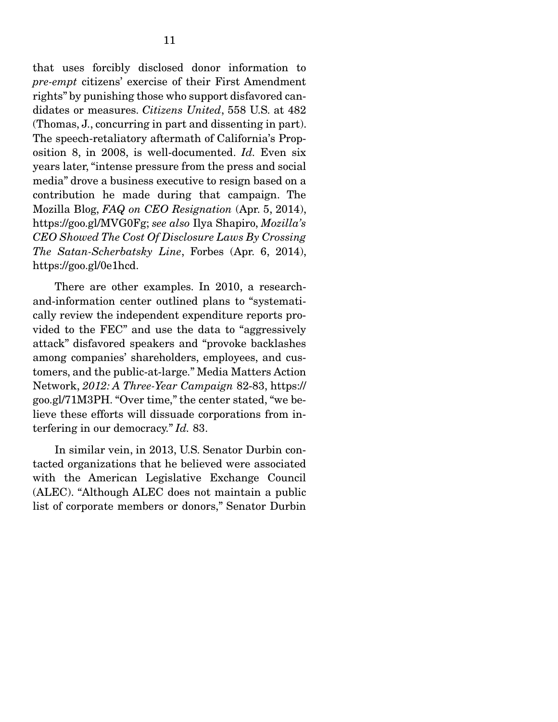that uses forcibly disclosed donor information to *pre-empt* citizens' exercise of their First Amendment rights" by punishing those who support disfavored candidates or measures. *Citizens United*, 558 U.S. at 482 (Thomas, J., concurring in part and dissenting in part). The speech-retaliatory aftermath of California's Proposition 8, in 2008, is well-documented. *Id.* Even six years later, "intense pressure from the press and social media" drove a business executive to resign based on a contribution he made during that campaign. The Mozilla Blog, *FAQ on CEO Resignation* (Apr. 5, 2014), https://goo.gl/MVG0Fg; *see also* Ilya Shapiro, *Mozilla's CEO Showed The Cost Of Disclosure Laws By Crossing The Satan-Scherbatsky Line*, Forbes (Apr. 6, 2014), https://goo.gl/0e1hcd.

 There are other examples. In 2010, a researchand-information center outlined plans to "systematically review the independent expenditure reports provided to the FEC" and use the data to "aggressively attack" disfavored speakers and "provoke backlashes among companies' shareholders, employees, and customers, and the public-at-large." Media Matters Action Network, *2012: A Three-Year Campaign* 82-83, https:// goo.gl/71M3PH. "Over time," the center stated, "we believe these efforts will dissuade corporations from interfering in our democracy." *Id.* 83.

 In similar vein, in 2013, U.S. Senator Durbin contacted organizations that he believed were associated with the American Legislative Exchange Council (ALEC). "Although ALEC does not maintain a public list of corporate members or donors," Senator Durbin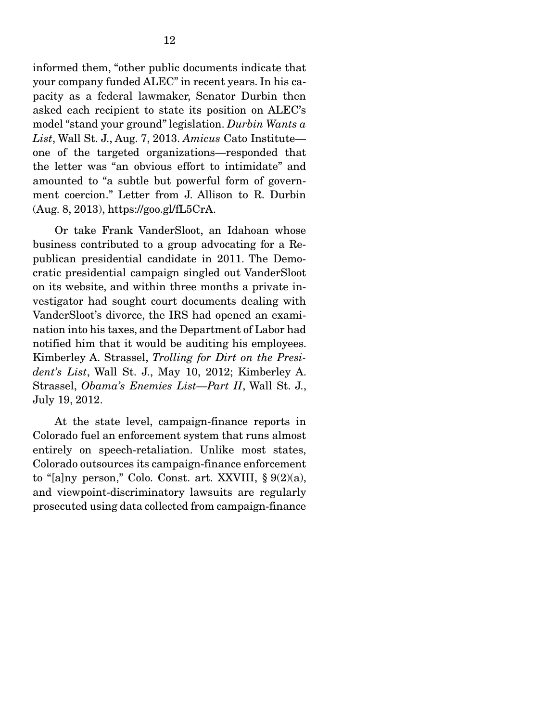informed them, "other public documents indicate that your company funded ALEC" in recent years. In his capacity as a federal lawmaker, Senator Durbin then asked each recipient to state its position on ALEC's model "stand your ground" legislation. *Durbin Wants a List*, Wall St. J., Aug. 7, 2013. *Amicus* Cato Institute one of the targeted organizations—responded that the letter was "an obvious effort to intimidate" and amounted to "a subtle but powerful form of government coercion." Letter from J. Allison to R. Durbin (Aug. 8, 2013), https://goo.gl/fL5CrA.

 Or take Frank VanderSloot, an Idahoan whose business contributed to a group advocating for a Republican presidential candidate in 2011. The Democratic presidential campaign singled out VanderSloot on its website, and within three months a private investigator had sought court documents dealing with VanderSloot's divorce, the IRS had opened an examination into his taxes, and the Department of Labor had notified him that it would be auditing his employees. Kimberley A. Strassel, *Trolling for Dirt on the President's List*, Wall St. J., May 10, 2012; Kimberley A. Strassel, *Obama's Enemies List*—*Part II*, Wall St. J., July 19, 2012.

 At the state level, campaign-finance reports in Colorado fuel an enforcement system that runs almost entirely on speech-retaliation. Unlike most states, Colorado outsources its campaign-finance enforcement to "[a]ny person," Colo. Const. art. XXVIII,  $\S 9(2)(a)$ , and viewpoint-discriminatory lawsuits are regularly prosecuted using data collected from campaign-finance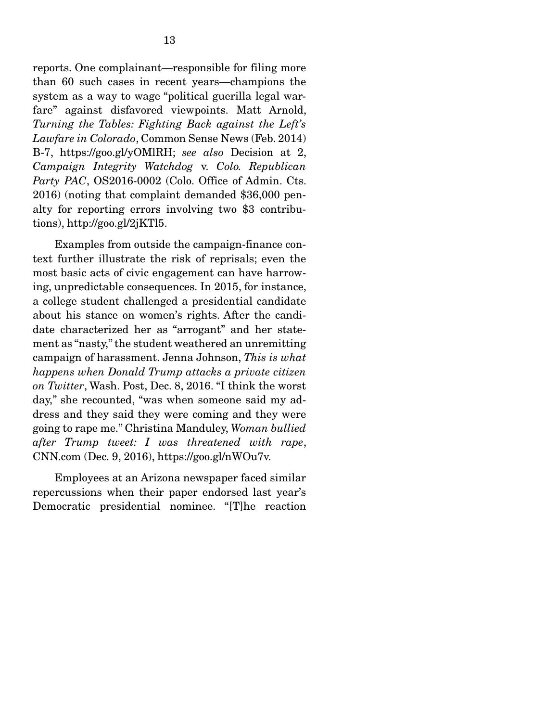reports. One complainant—responsible for filing more than 60 such cases in recent years—champions the system as a way to wage "political guerilla legal warfare" against disfavored viewpoints. Matt Arnold, *Turning the Tables: Fighting Back against the Left's Lawfare in Colorado*, Common Sense News (Feb. 2014) B-7, https://goo.gl/yOMlRH; *see also* Decision at 2, *Campaign Integrity Watchdog* v. *Colo. Republican*  Party PAC, OS2016-0002 (Colo. Office of Admin. Cts. 2016) (noting that complaint demanded \$36,000 penalty for reporting errors involving two \$3 contributions), http://goo.gl/2jKTl5.

 Examples from outside the campaign-finance context further illustrate the risk of reprisals; even the most basic acts of civic engagement can have harrowing, unpredictable consequences. In 2015, for instance, a college student challenged a presidential candidate about his stance on women's rights. After the candidate characterized her as "arrogant" and her statement as "nasty," the student weathered an unremitting campaign of harassment. Jenna Johnson, *This is what happens when Donald Trump attacks a private citizen on Twitter*, Wash. Post, Dec. 8, 2016. "I think the worst day," she recounted, "was when someone said my address and they said they were coming and they were going to rape me." Christina Manduley, *Woman bullied after Trump tweet: I was threatened with rape*, CNN.com (Dec. 9, 2016), https://goo.gl/nWOu7v.

 Employees at an Arizona newspaper faced similar repercussions when their paper endorsed last year's Democratic presidential nominee. "[T]he reaction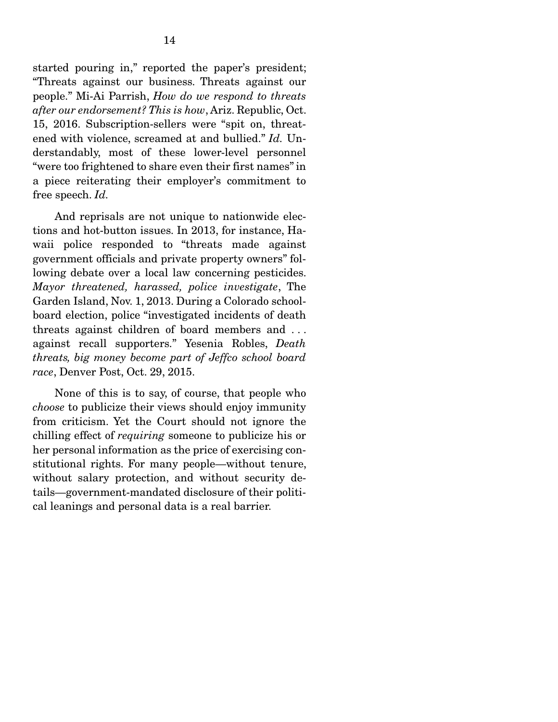started pouring in," reported the paper's president; "Threats against our business. Threats against our people." Mi-Ai Parrish, *How do we respond to threats after our endorsement? This is how*, Ariz. Republic, Oct. 15, 2016. Subscription-sellers were "spit on, threatened with violence, screamed at and bullied." *Id.* Understandably, most of these lower-level personnel "were too frightened to share even their first names" in a piece reiterating their employer's commitment to free speech. *Id.*

 And reprisals are not unique to nationwide elections and hot-button issues. In 2013, for instance, Hawaii police responded to "threats made against government officials and private property owners" following debate over a local law concerning pesticides. *Mayor threatened, harassed, police investigate*, The Garden Island, Nov. 1, 2013. During a Colorado schoolboard election, police "investigated incidents of death threats against children of board members and . . . against recall supporters." Yesenia Robles, *Death threats, big money become part of Jeffco school board race*, Denver Post, Oct. 29, 2015.

 None of this is to say, of course, that people who *choose* to publicize their views should enjoy immunity from criticism. Yet the Court should not ignore the chilling effect of *requiring* someone to publicize his or her personal information as the price of exercising constitutional rights. For many people—without tenure, without salary protection, and without security details—government-mandated disclosure of their political leanings and personal data is a real barrier.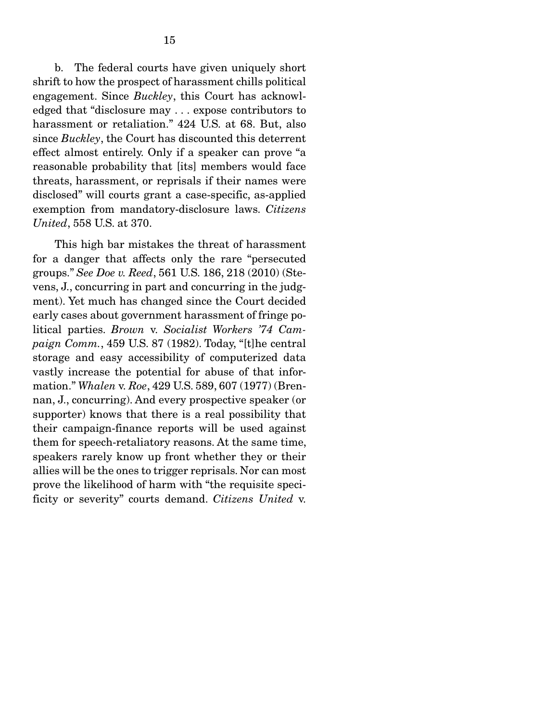b. The federal courts have given uniquely short shrift to how the prospect of harassment chills political engagement. Since *Buckley*, this Court has acknowledged that "disclosure may . . . expose contributors to harassment or retaliation." 424 U.S. at 68. But, also since *Buckley*, the Court has discounted this deterrent effect almost entirely. Only if a speaker can prove "a reasonable probability that [its] members would face threats, harassment, or reprisals if their names were disclosed" will courts grant a case-specific, as-applied exemption from mandatory-disclosure laws. *Citizens United*, 558 U.S. at 370.

 This high bar mistakes the threat of harassment for a danger that affects only the rare "persecuted groups." *See Doe v. Reed*, 561 U.S. 186, 218 (2010) (Stevens, J., concurring in part and concurring in the judgment). Yet much has changed since the Court decided early cases about government harassment of fringe political parties. *Brown* v. *Socialist Workers '74 Campaign Comm.*, 459 U.S. 87 (1982). Today, "[t]he central storage and easy accessibility of computerized data vastly increase the potential for abuse of that information." *Whalen* v. *Roe*, 429 U.S. 589, 607 (1977) (Brennan, J., concurring). And every prospective speaker (or supporter) knows that there is a real possibility that their campaign-finance reports will be used against them for speech-retaliatory reasons. At the same time, speakers rarely know up front whether they or their allies will be the ones to trigger reprisals. Nor can most prove the likelihood of harm with "the requisite specificity or severity" courts demand. *Citizens United* v.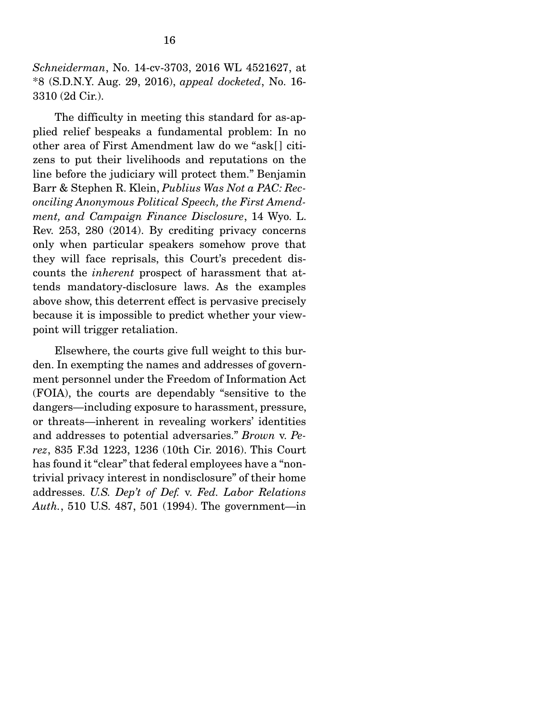*Schneiderman*, No. 14-cv-3703, 2016 WL 4521627, at \*8 (S.D.N.Y. Aug. 29, 2016), *appeal docketed*, No. 16- 3310 (2d Cir.).

 The difficulty in meeting this standard for as-applied relief bespeaks a fundamental problem: In no other area of First Amendment law do we "ask[] citizens to put their livelihoods and reputations on the line before the judiciary will protect them." Benjamin Barr & Stephen R. Klein, *Publius Was Not a PAC: Reconciling Anonymous Political Speech, the First Amendment, and Campaign Finance Disclosure*, 14 Wyo. L. Rev. 253, 280 (2014). By crediting privacy concerns only when particular speakers somehow prove that they will face reprisals, this Court's precedent discounts the *inherent* prospect of harassment that attends mandatory-disclosure laws. As the examples above show, this deterrent effect is pervasive precisely because it is impossible to predict whether your viewpoint will trigger retaliation.

 Elsewhere, the courts give full weight to this burden. In exempting the names and addresses of government personnel under the Freedom of Information Act (FOIA), the courts are dependably "sensitive to the dangers—including exposure to harassment, pressure, or threats—inherent in revealing workers' identities and addresses to potential adversaries." *Brown* v. *Perez*, 835 F.3d 1223, 1236 (10th Cir. 2016). This Court has found it "clear" that federal employees have a "nontrivial privacy interest in nondisclosure" of their home addresses. *U.S. Dep't of Def.* v. *Fed. Labor Relations Auth.*, 510 U.S. 487, 501 (1994). The government—in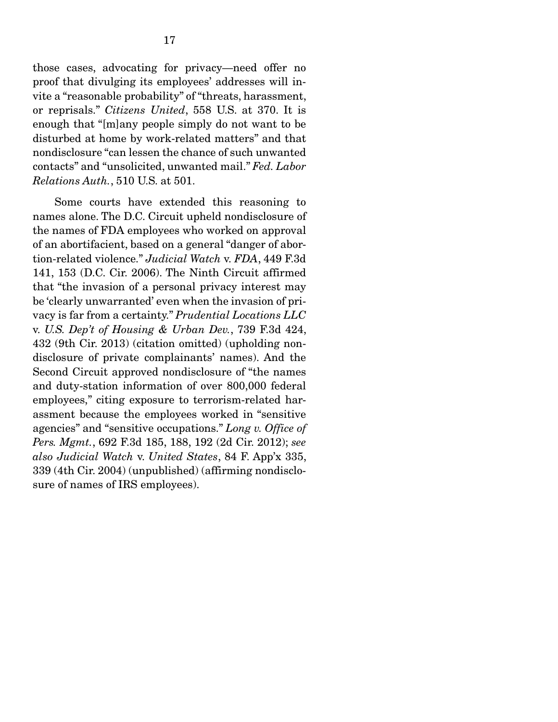those cases, advocating for privacy—need offer no proof that divulging its employees' addresses will invite a "reasonable probability" of "threats, harassment, or reprisals." *Citizens United*, 558 U.S. at 370. It is enough that "[m]any people simply do not want to be disturbed at home by work-related matters" and that nondisclosure "can lessen the chance of such unwanted contacts" and "unsolicited, unwanted mail." *Fed. Labor Relations Auth.*, 510 U.S. at 501.

 Some courts have extended this reasoning to names alone. The D.C. Circuit upheld nondisclosure of the names of FDA employees who worked on approval of an abortifacient, based on a general "danger of abortion-related violence." *Judicial Watch* v. *FDA*, 449 F.3d 141, 153 (D.C. Cir. 2006). The Ninth Circuit affirmed that "the invasion of a personal privacy interest may be 'clearly unwarranted' even when the invasion of privacy is far from a certainty." *Prudential Locations LLC*  v. *U.S. Dep't of Housing & Urban Dev.*, 739 F.3d 424, 432 (9th Cir. 2013) (citation omitted) (upholding nondisclosure of private complainants' names). And the Second Circuit approved nondisclosure of "the names and duty-station information of over 800,000 federal employees," citing exposure to terrorism-related harassment because the employees worked in "sensitive agencies" and "sensitive occupations." *Long v. Office of Pers. Mgmt.*, 692 F.3d 185, 188, 192 (2d Cir. 2012); *see also Judicial Watch* v. *United States*, 84 F. App'x 335, 339 (4th Cir. 2004) (unpublished) (affirming nondisclosure of names of IRS employees).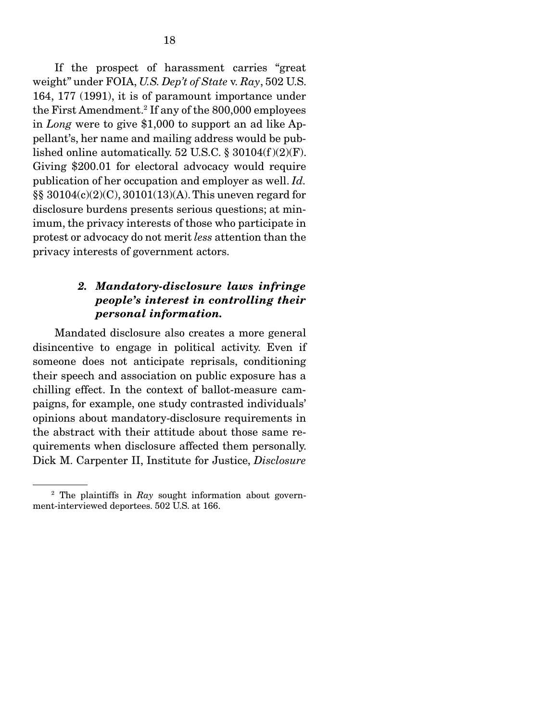If the prospect of harassment carries "great weight" under FOIA, *U.S. Dep't of State* v. *Ray*, 502 U.S. 164, 177 (1991), it is of paramount importance under the First Amendment.2 If any of the 800,000 employees in *Long* were to give \$1,000 to support an ad like Appellant's, her name and mailing address would be published online automatically. 52 U.S.C.  $\S 30104(f)(2)(F)$ . Giving \$200.01 for electoral advocacy would require publication of her occupation and employer as well. *Id.* §§ 30104(c)(2)(C), 30101(13)(A). This uneven regard for disclosure burdens presents serious questions; at minimum, the privacy interests of those who participate in protest or advocacy do not merit *less* attention than the privacy interests of government actors.

#### *2. Mandatory-disclosure laws infringe people's interest in controlling their personal information.*

 Mandated disclosure also creates a more general disincentive to engage in political activity. Even if someone does not anticipate reprisals, conditioning their speech and association on public exposure has a chilling effect. In the context of ballot-measure campaigns, for example, one study contrasted individuals' opinions about mandatory-disclosure requirements in the abstract with their attitude about those same requirements when disclosure affected them personally. Dick M. Carpenter II, Institute for Justice, *Disclosure* 

<sup>2</sup> The plaintiffs in *Ray* sought information about government-interviewed deportees. 502 U.S. at 166.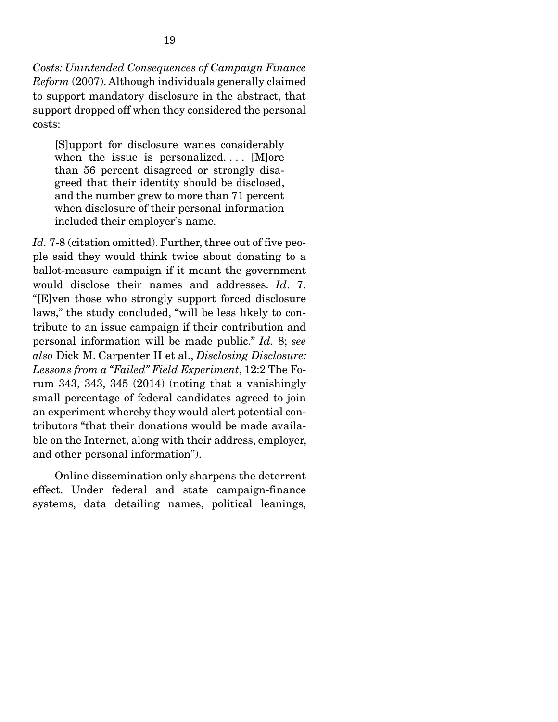*Costs: Unintended Consequences of Campaign Finance Reform* (2007). Although individuals generally claimed to support mandatory disclosure in the abstract, that support dropped off when they considered the personal costs:

[S]upport for disclosure wanes considerably when the issue is personalized....  $[M]$ ore than 56 percent disagreed or strongly disagreed that their identity should be disclosed, and the number grew to more than 71 percent when disclosure of their personal information included their employer's name.

*Id.* 7-8 (citation omitted). Further, three out of five people said they would think twice about donating to a ballot-measure campaign if it meant the government would disclose their names and addresses. *Id*. 7. "[E]ven those who strongly support forced disclosure laws," the study concluded, "will be less likely to contribute to an issue campaign if their contribution and personal information will be made public." *Id.* 8; *see also* Dick M. Carpenter II et al., *Disclosing Disclosure: Lessons from a "Failed" Field Experiment*, 12:2 The Forum 343, 343, 345 (2014) (noting that a vanishingly small percentage of federal candidates agreed to join an experiment whereby they would alert potential contributors "that their donations would be made available on the Internet, along with their address, employer, and other personal information").

 Online dissemination only sharpens the deterrent effect. Under federal and state campaign-finance systems, data detailing names, political leanings,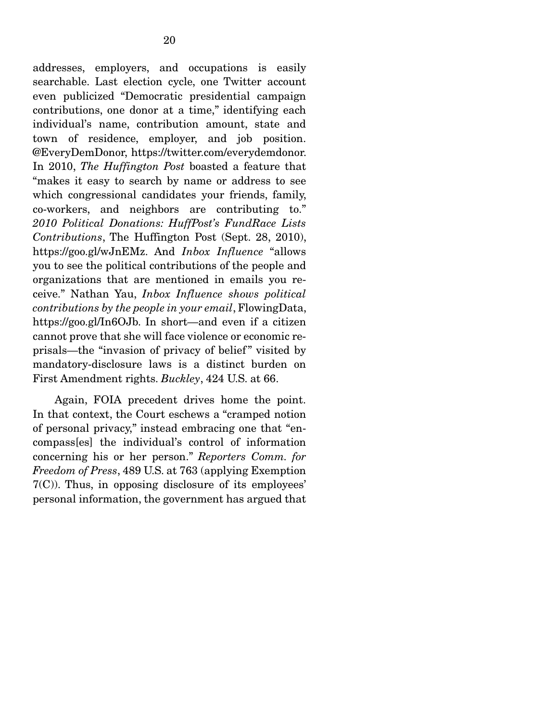addresses, employers, and occupations is easily searchable. Last election cycle, one Twitter account even publicized "Democratic presidential campaign contributions, one donor at a time," identifying each individual's name, contribution amount, state and town of residence, employer, and job position. @EveryDemDonor, https://twitter.com/everydemdonor. In 2010, *The Huffington Post* boasted a feature that "makes it easy to search by name or address to see which congressional candidates your friends, family, co-workers, and neighbors are contributing to." *2010 Political Donations: HuffPost's FundRace Lists Contributions*, The Huffington Post (Sept. 28, 2010), https://goo.gl/wJnEMz. And *Inbox Influence* "allows you to see the political contributions of the people and organizations that are mentioned in emails you receive." Nathan Yau, *Inbox Influence shows political contributions by the people in your email*, FlowingData, https://goo.gl/In6OJb. In short—and even if a citizen cannot prove that she will face violence or economic reprisals—the "invasion of privacy of belief " visited by mandatory-disclosure laws is a distinct burden on First Amendment rights. *Buckley*, 424 U.S. at 66.

 Again, FOIA precedent drives home the point. In that context, the Court eschews a "cramped notion of personal privacy," instead embracing one that "encompass[es] the individual's control of information concerning his or her person." *Reporters Comm. for Freedom of Press*, 489 U.S. at 763 (applying Exemption 7(C)). Thus, in opposing disclosure of its employees' personal information, the government has argued that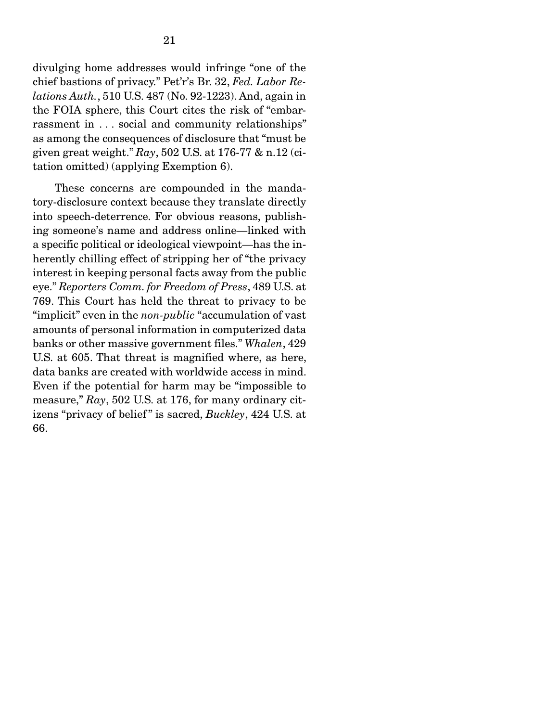divulging home addresses would infringe "one of the chief bastions of privacy." Pet'r's Br. 32, *Fed. Labor Relations Auth.*, 510 U.S. 487 (No. 92-1223). And, again in the FOIA sphere, this Court cites the risk of "embarrassment in . . . social and community relationships" as among the consequences of disclosure that "must be given great weight." *Ray*, 502 U.S. at 176-77 & n.12 (citation omitted) (applying Exemption 6).

 These concerns are compounded in the mandatory-disclosure context because they translate directly into speech-deterrence. For obvious reasons, publishing someone's name and address online—linked with a specific political or ideological viewpoint—has the inherently chilling effect of stripping her of "the privacy interest in keeping personal facts away from the public eye." *Reporters Comm. for Freedom of Press*, 489 U.S. at 769. This Court has held the threat to privacy to be "implicit" even in the *non-public* "accumulation of vast amounts of personal information in computerized data banks or other massive government files." *Whalen*, 429 U.S. at 605. That threat is magnified where, as here, data banks are created with worldwide access in mind. Even if the potential for harm may be "impossible to measure," *Ray*, 502 U.S. at 176, for many ordinary citizens "privacy of belief" is sacred, *Buckley*, 424 U.S. at 66.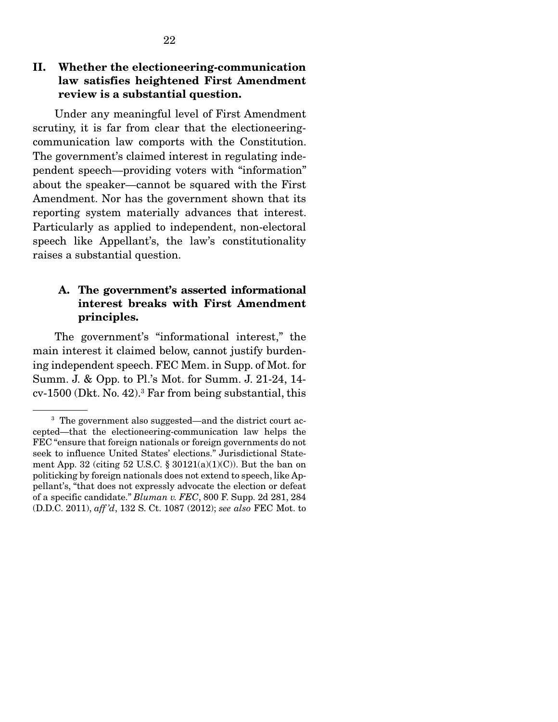#### II. Whether the electioneering-communication law satisfies heightened First Amendment review is a substantial question.

 Under any meaningful level of First Amendment scrutiny, it is far from clear that the electioneeringcommunication law comports with the Constitution. The government's claimed interest in regulating independent speech—providing voters with "information" about the speaker—cannot be squared with the First Amendment. Nor has the government shown that its reporting system materially advances that interest. Particularly as applied to independent, non-electoral speech like Appellant's, the law's constitutionality raises a substantial question.

#### A. The government's asserted informational interest breaks with First Amendment principles.

 The government's "informational interest," the main interest it claimed below, cannot justify burdening independent speech. FEC Mem. in Supp. of Mot. for Summ. J. & Opp. to Pl.'s Mot. for Summ. J. 21-24, 14 cv-1500 (Dkt. No. 42).3 Far from being substantial, this

<sup>&</sup>lt;sup>3</sup> The government also suggested—and the district court accepted—that the electioneering-communication law helps the FEC "ensure that foreign nationals or foreign governments do not seek to influence United States' elections." Jurisdictional Statement App. 32 (citing 52 U.S.C.  $\S 30121(a)(1)(C)$ ). But the ban on politicking by foreign nationals does not extend to speech, like Appellant's, "that does not expressly advocate the election or defeat of a specific candidate." *Bluman v. FEC*, 800 F. Supp. 2d 281, 284 (D.D.C. 2011), *aff 'd*, 132 S. Ct. 1087 (2012); *see also* FEC Mot. to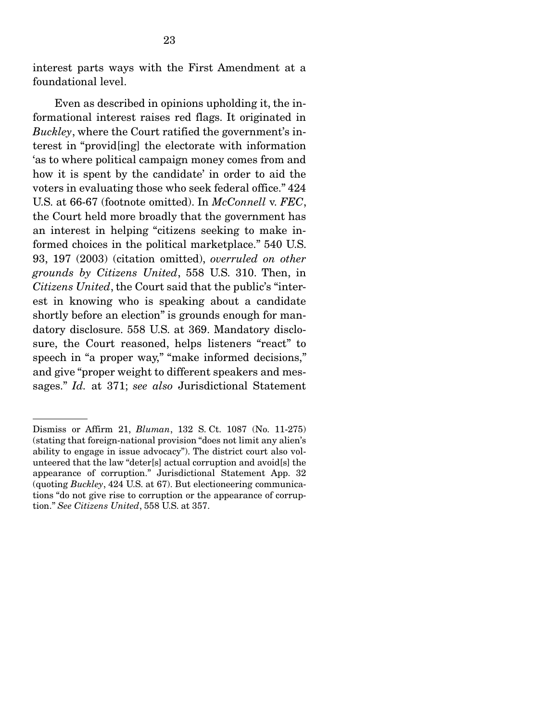interest parts ways with the First Amendment at a foundational level.

 Even as described in opinions upholding it, the informational interest raises red flags. It originated in *Buckley*, where the Court ratified the government's interest in "provid[ing] the electorate with information 'as to where political campaign money comes from and how it is spent by the candidate' in order to aid the voters in evaluating those who seek federal office." 424 U.S. at 66-67 (footnote omitted). In *McConnell* v. *FEC*, the Court held more broadly that the government has an interest in helping "citizens seeking to make informed choices in the political marketplace." 540 U.S. 93, 197 (2003) (citation omitted), *overruled on other grounds by Citizens United*, 558 U.S. 310. Then, in *Citizens United*, the Court said that the public's "interest in knowing who is speaking about a candidate shortly before an election" is grounds enough for mandatory disclosure. 558 U.S. at 369. Mandatory disclosure, the Court reasoned, helps listeners "react" to speech in "a proper way," "make informed decisions," and give "proper weight to different speakers and messages." *Id.* at 371; *see also* Jurisdictional Statement

Dismiss or Affirm 21, *Bluman*, 132 S. Ct. 1087 (No. 11-275) (stating that foreign-national provision "does not limit any alien's ability to engage in issue advocacy"). The district court also volunteered that the law "deter[s] actual corruption and avoid[s] the appearance of corruption." Jurisdictional Statement App. 32 (quoting *Buckley*, 424 U.S. at 67). But electioneering communications "do not give rise to corruption or the appearance of corruption." *See Citizens United*, 558 U.S. at 357.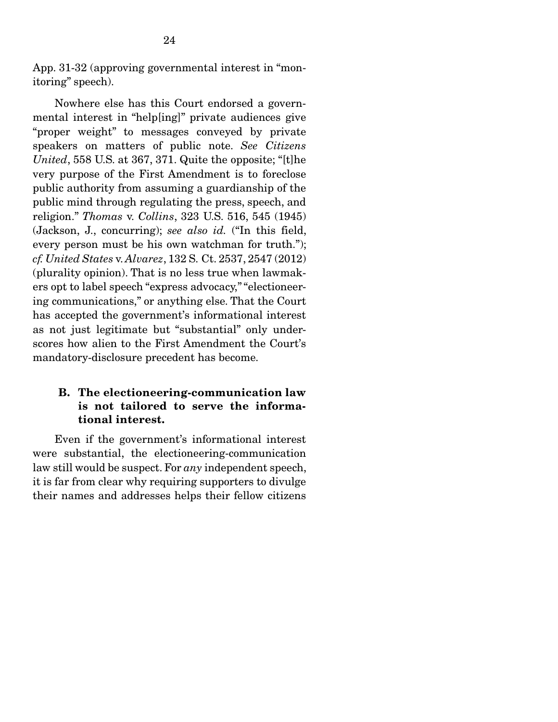App. 31-32 (approving governmental interest in "monitoring" speech).

 Nowhere else has this Court endorsed a governmental interest in "help[ing]" private audiences give "proper weight" to messages conveyed by private speakers on matters of public note. *See Citizens United*, 558 U.S. at 367, 371. Quite the opposite; "[t]he very purpose of the First Amendment is to foreclose public authority from assuming a guardianship of the public mind through regulating the press, speech, and religion." *Thomas* v. *Collins*, 323 U.S. 516, 545 (1945) (Jackson, J., concurring); *see also id.* ("In this field, every person must be his own watchman for truth."); *cf. United States* v. *Alvarez*, 132 S. Ct. 2537, 2547 (2012) (plurality opinion). That is no less true when lawmakers opt to label speech "express advocacy," "electioneering communications," or anything else. That the Court has accepted the government's informational interest as not just legitimate but "substantial" only underscores how alien to the First Amendment the Court's mandatory-disclosure precedent has become.

### B. The electioneering-communication law is not tailored to serve the informational interest.

 Even if the government's informational interest were substantial, the electioneering-communication law still would be suspect. For *any* independent speech, it is far from clear why requiring supporters to divulge their names and addresses helps their fellow citizens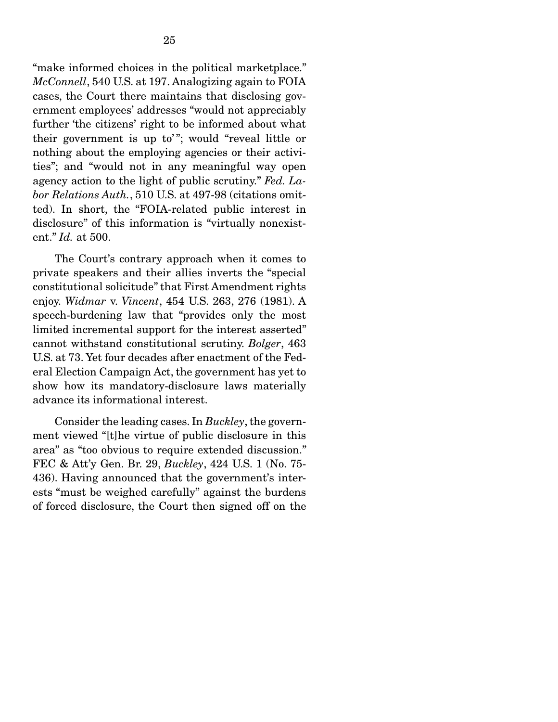"make informed choices in the political marketplace." *McConnell*, 540 U.S. at 197. Analogizing again to FOIA cases, the Court there maintains that disclosing government employees' addresses "would not appreciably further 'the citizens' right to be informed about what their government is up to'"; would "reveal little or nothing about the employing agencies or their activities"; and "would not in any meaningful way open agency action to the light of public scrutiny." *Fed. Labor Relations Auth.*, 510 U.S. at 497-98 (citations omitted). In short, the "FOIA-related public interest in disclosure" of this information is "virtually nonexistent." *Id.* at 500.

 The Court's contrary approach when it comes to private speakers and their allies inverts the "special constitutional solicitude" that First Amendment rights enjoy. *Widmar* v. *Vincent*, 454 U.S. 263, 276 (1981). A speech-burdening law that "provides only the most limited incremental support for the interest asserted" cannot withstand constitutional scrutiny. *Bolger*, 463 U.S. at 73. Yet four decades after enactment of the Federal Election Campaign Act, the government has yet to show how its mandatory-disclosure laws materially advance its informational interest.

 Consider the leading cases. In *Buckley*, the government viewed "[t]he virtue of public disclosure in this area" as "too obvious to require extended discussion." FEC & Att'y Gen. Br. 29, *Buckley*, 424 U.S. 1 (No. 75- 436). Having announced that the government's interests "must be weighed carefully" against the burdens of forced disclosure, the Court then signed off on the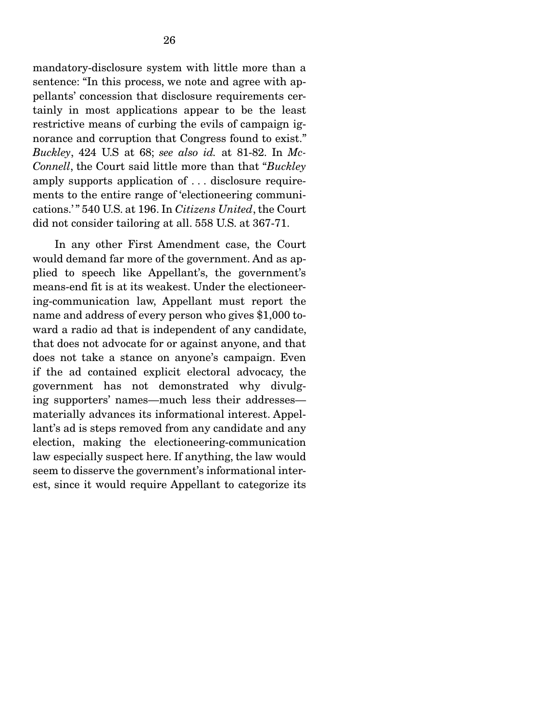mandatory-disclosure system with little more than a sentence: "In this process, we note and agree with appellants' concession that disclosure requirements certainly in most applications appear to be the least restrictive means of curbing the evils of campaign ignorance and corruption that Congress found to exist." *Buckley*, 424 U.S at 68; *see also id.* at 81-82. In *Mc-Connell*, the Court said little more than that "*Buckley* amply supports application of . . . disclosure requirements to the entire range of 'electioneering communications.' " 540 U.S. at 196. In *Citizens United*, the Court did not consider tailoring at all. 558 U.S. at 367-71.

 In any other First Amendment case, the Court would demand far more of the government. And as applied to speech like Appellant's, the government's means-end fit is at its weakest. Under the electioneering-communication law, Appellant must report the name and address of every person who gives \$1,000 toward a radio ad that is independent of any candidate, that does not advocate for or against anyone, and that does not take a stance on anyone's campaign. Even if the ad contained explicit electoral advocacy, the government has not demonstrated why divulging supporters' names—much less their addresses materially advances its informational interest. Appellant's ad is steps removed from any candidate and any election, making the electioneering-communication law especially suspect here. If anything, the law would seem to disserve the government's informational interest, since it would require Appellant to categorize its